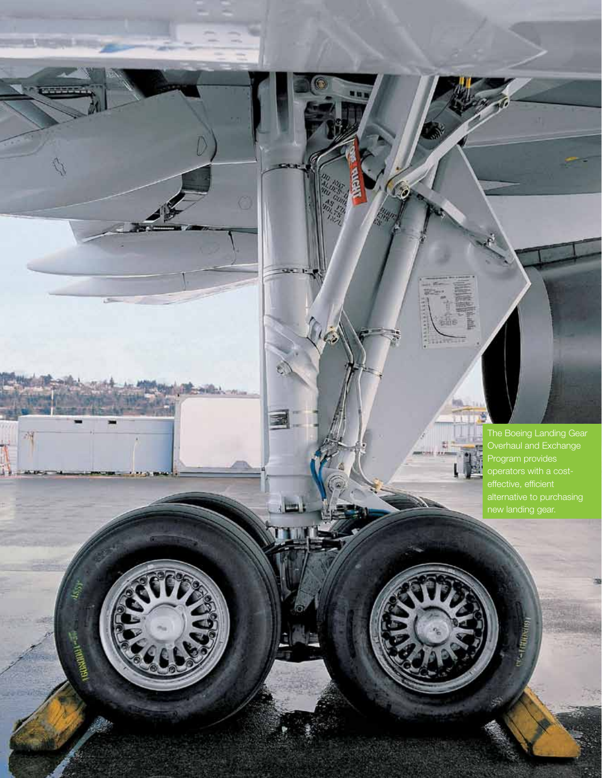The Boeing Landing Gear Overhaul and Exchange Program provides operators with a costeffective, efficient new landing gear.

67

 $163$ 

Ľ

**Pryst** 

ka. Ŧ

塑

薪

aero quarterly qtr\_02 | 09

10

 $t_{\rm dyn}$ 

**CENTER** 

 $\sqrt[4]{3}$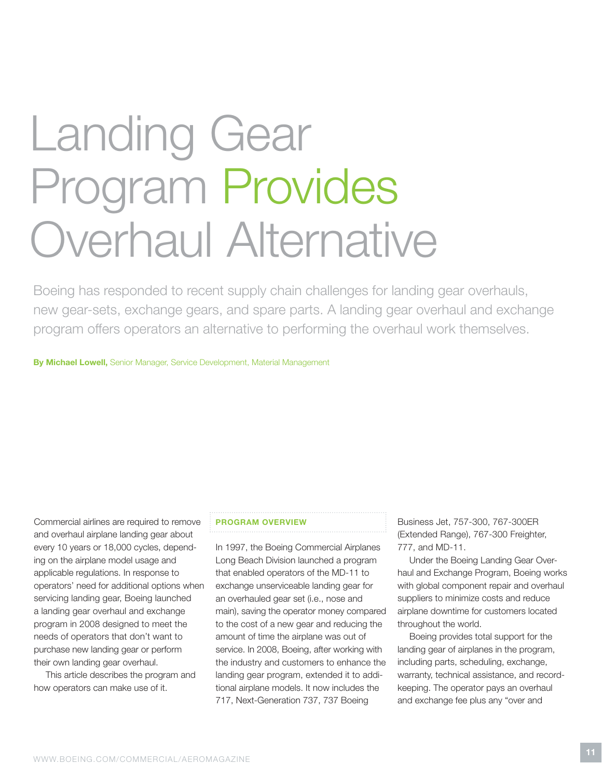# Landing Gear Program Provides Overhaul Alternative

Boeing has responded to recent supply chain challenges for landing gear overhauls, new gear-sets, exchange gears, and spare parts. A landing gear overhaul and exchange program offers operators an alternative to performing the overhaul work themselves.

By Michael Lowell, Senior Manager, Service Development, Material Management

Commercial airlines are required to remove and overhaul airplane landing gear about every 10 years or 18,000 cycles, depending on the airplane model usage and applicable regulations. In response to operators' need for additional options when servicing landing gear, Boeing launched a landing gear overhaul and exchange program in 2008 designed to meet the needs of operators that don't want to purchase new landing gear or perform their own landing gear overhaul.

This article describes the program and how operators can make use of it.

# Program overview

In 1997, the Boeing Commercial Airplanes Long Beach Division launched a program that enabled operators of the MD-11 to exchange unserviceable landing gear for an overhauled gear set (i.e., nose and main), saving the operator money compared to the cost of a new gear and reducing the amount of time the airplane was out of service. In 2008, Boeing, after working with the industry and customers to enhance the landing gear program, extended it to additional airplane models. It now includes the 717, Next-Generation 737, 737 Boeing

Business Jet, 757-300, 767-300ER (Extended Range), 767-300 Freighter, 777, and MD-11.

Under the Boeing Landing Gear Overhaul and Exchange Program, Boeing works with global component repair and overhaul suppliers to minimize costs and reduce airplane downtime for customers located throughout the world.

Boeing provides total support for the landing gear of airplanes in the program, including parts, scheduling, exchange, warranty, technical assistance, and recordkeeping. The operator pays an overhaul and exchange fee plus any "over and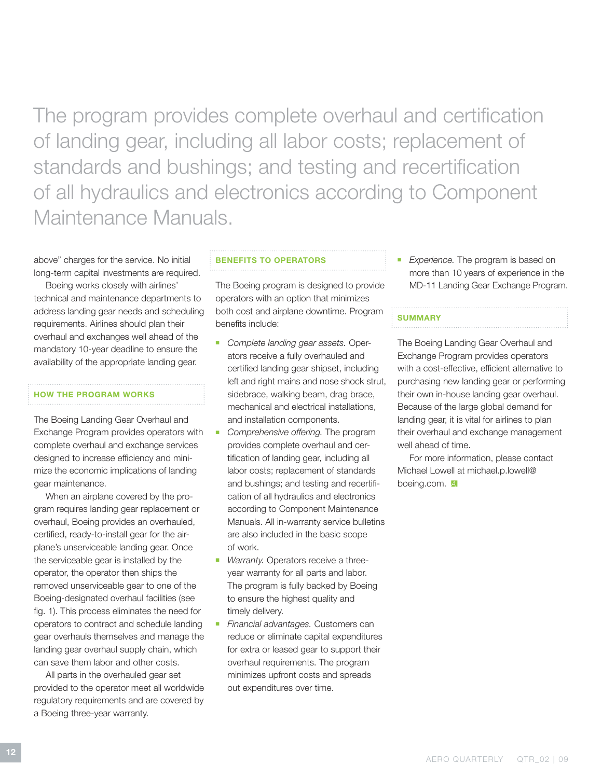The program provides complete overhaul and certification of landing gear, including all labor costs; replacement of standards and bushings; and testing and recertification of all hydraulics and electronics according to Component Maintenance Manuals.

above" charges for the service. No initial long-term capital investments are required.

Boeing works closely with airlines' technical and maintenance departments to address landing gear needs and scheduling requirements. Airlines should plan their overhaul and exchanges well ahead of the mandatory 10-year deadline to ensure the availability of the appropriate landing gear.

## How the program works

The Boeing Landing Gear Overhaul and Exchange Program provides operators with complete overhaul and exchange services designed to increase efficiency and minimize the economic implications of landing gear maintenance.

When an airplane covered by the program requires landing gear replacement or overhaul, Boeing provides an overhauled, certified, ready-to-install gear for the airplane's unserviceable landing gear. Once the serviceable gear is installed by the operator, the operator then ships the removed unserviceable gear to one of the Boeing-designated overhaul facilities (see fig. 1). This process eliminates the need for operators to contract and schedule landing gear overhauls themselves and manage the landing gear overhaul supply chain, which can save them labor and other costs.

All parts in the overhauled gear set provided to the operator meet all worldwide regulatory requirements and are covered by a Boeing three-year warranty.

### Benefits to operators

The Boeing program is designed to provide operators with an option that minimizes both cost and airplane downtime. Program benefits include:

- <sup>n</sup> *Complete landing gear assets.* Operators receive a fully overhauled and certified landing gear shipset, including left and right mains and nose shock strut, sidebrace, walking beam, drag brace, mechanical and electrical installations, and installation components.
- **Comprehensive offering. The program** provides complete overhaul and certification of landing gear, including all labor costs; replacement of standards and bushings; and testing and recertification of all hydraulics and electronics according to Component Maintenance Manuals. All in-warranty service bulletins are also included in the basic scope of work.
- *Warranty.* Operators receive a threeyear warranty for all parts and labor. The program is fully backed by Boeing to ensure the highest quality and timely delivery.
- **Financial advantages. Customers can** reduce or eliminate capital expenditures for extra or leased gear to support their overhaul requirements. The program minimizes upfront costs and spreads out expenditures over time.

*Experience.* The program is based on more than 10 years of experience in the MD-11 Landing Gear Exchange Program.

### **SUMMARY**

The Boeing Landing Gear Overhaul and Exchange Program provides operators with a cost-effective, efficient alternative to purchasing new landing gear or performing their own in-house landing gear overhaul. Because of the large global demand for landing gear, it is vital for airlines to plan their overhaul and exchange management well ahead of time.

For more information, please contact Michael Lowell at michael.p.lowell@ boeing.com. 4